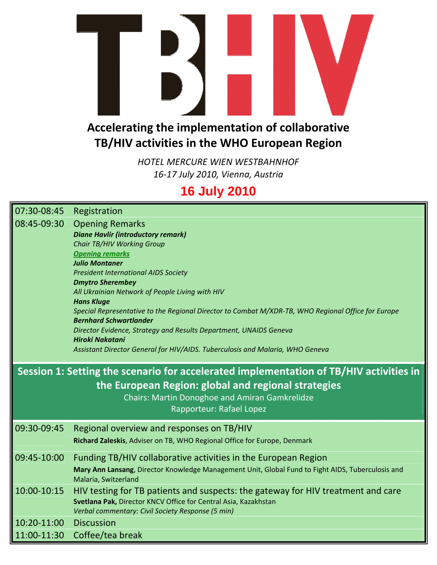

## **TB/HIV activities in the WHO European Region**

*HOTEL MERCURE WIEN WESTBAHNHOF 16‐17 July 2010, Vienna, Austria*

## **16 July 2010**

| 07:30-08:45                                         | Registration                                                                                                            |  |  |  |  |  |
|-----------------------------------------------------|-------------------------------------------------------------------------------------------------------------------------|--|--|--|--|--|
| 08:45-09:30                                         | <b>Opening Remarks</b>                                                                                                  |  |  |  |  |  |
|                                                     | <b>Diane Havlir (introductory remark)</b>                                                                               |  |  |  |  |  |
|                                                     | <b>Chair TB/HIV Working Group</b>                                                                                       |  |  |  |  |  |
|                                                     | <b>Opening remarks</b>                                                                                                  |  |  |  |  |  |
|                                                     | <b>Julio Montaner</b>                                                                                                   |  |  |  |  |  |
|                                                     | <b>President International AIDS Society</b>                                                                             |  |  |  |  |  |
| <b>Dmytro Sherembey</b>                             |                                                                                                                         |  |  |  |  |  |
|                                                     | All Ukrainian Network of People Living with HIV                                                                         |  |  |  |  |  |
|                                                     | <b>Hans Kluge</b><br>Special Representative to the Regional Director to Combat M/XDR-TB, WHO Regional Office for Europe |  |  |  |  |  |
|                                                     | <b>Bernhard Schwartlander</b>                                                                                           |  |  |  |  |  |
|                                                     | Director Evidence, Strategy and Results Department, UNAIDS Geneva                                                       |  |  |  |  |  |
|                                                     | <b>Hiroki Nakatani</b>                                                                                                  |  |  |  |  |  |
|                                                     | Assistant Director General for HIV/AIDS. Tuberculosis and Malaria, WHO Geneva                                           |  |  |  |  |  |
|                                                     |                                                                                                                         |  |  |  |  |  |
|                                                     | Session 1: Setting the scenario for accelerated implementation of TB/HIV activities in                                  |  |  |  |  |  |
| the European Region: global and regional strategies |                                                                                                                         |  |  |  |  |  |
|                                                     |                                                                                                                         |  |  |  |  |  |
|                                                     | Chairs: Martin Donoghoe and Amiran Gamkrelidze                                                                          |  |  |  |  |  |
|                                                     | Rapporteur: Rafael Lopez                                                                                                |  |  |  |  |  |
| 09:30-09:45                                         | Regional overview and responses on TB/HIV                                                                               |  |  |  |  |  |
|                                                     | Richard Zaleskis, Adviser on TB, WHO Regional Office for Europe, Denmark                                                |  |  |  |  |  |
|                                                     |                                                                                                                         |  |  |  |  |  |
| 09:45-10:00                                         |                                                                                                                         |  |  |  |  |  |
|                                                     | Funding TB/HIV collaborative activities in the European Region                                                          |  |  |  |  |  |
|                                                     | Mary Ann Lansang, Director Knowledge Management Unit, Global Fund to Fight AIDS, Tuberculosis and                       |  |  |  |  |  |
|                                                     | Malaria, Switzerland                                                                                                    |  |  |  |  |  |
| 10:00-10:15                                         | HIV testing for TB patients and suspects: the gateway for HIV treatment and care                                        |  |  |  |  |  |
|                                                     | Svetlana Pak, Director KNCV Office for Central Asia, Kazakhstan                                                         |  |  |  |  |  |
|                                                     | Verbal commentary: Civil Society Response (5 min)                                                                       |  |  |  |  |  |
| 10:20-11:00                                         | <b>Discussion</b>                                                                                                       |  |  |  |  |  |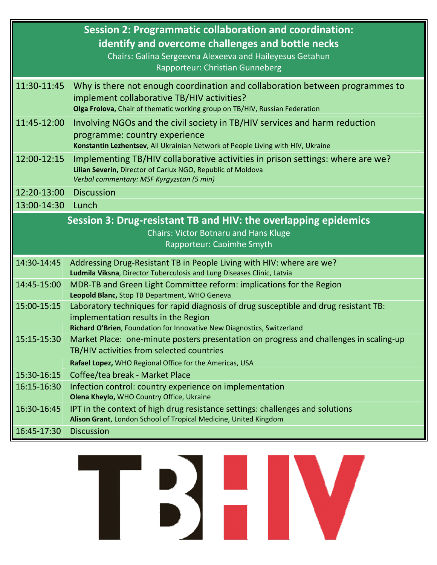|                                                                                                                                              | <b>Session 2: Programmatic collaboration and coordination:</b><br>identify and overcome challenges and bottle necks<br>Chairs: Galina Sergeevna Alexeeva and Haileyesus Getahun<br>Rapporteur: Christian Gunneberg |  |  |  |  |
|----------------------------------------------------------------------------------------------------------------------------------------------|--------------------------------------------------------------------------------------------------------------------------------------------------------------------------------------------------------------------|--|--|--|--|
| 11:30-11:45                                                                                                                                  | Why is there not enough coordination and collaboration between programmes to<br>implement collaborative TB/HIV activities?<br>Olga Frolova, Chair of thematic working group on TB/HIV, Russian Federation          |  |  |  |  |
| 11:45-12:00                                                                                                                                  | Involving NGOs and the civil society in TB/HIV services and harm reduction<br>programme: country experience<br>Konstantin Lezhentsev, All Ukrainian Network of People Living with HIV, Ukraine                     |  |  |  |  |
| 12:00-12:15                                                                                                                                  | Implementing TB/HIV collaborative activities in prison settings: where are we?<br>Lilian Severin, Director of Carlux NGO, Republic of Moldova<br>Verbal commentary: MSF Kyrgyzstan (5 min)                         |  |  |  |  |
| 12:20-13:00                                                                                                                                  | <b>Discussion</b>                                                                                                                                                                                                  |  |  |  |  |
| 13:00-14:30                                                                                                                                  | Lunch                                                                                                                                                                                                              |  |  |  |  |
| Session 3: Drug-resistant TB and HIV: the overlapping epidemics<br><b>Chairs: Victor Botnaru and Hans Kluge</b><br>Rapporteur: Caoimhe Smyth |                                                                                                                                                                                                                    |  |  |  |  |
| 14:30-14:45                                                                                                                                  | Addressing Drug-Resistant TB in People Living with HIV: where are we?<br>Ludmila Viksna, Director Tuberculosis and Lung Diseases Clinic, Latvia                                                                    |  |  |  |  |
| 14:45-15:00                                                                                                                                  | MDR-TB and Green Light Committee reform: implications for the Region<br>Leopold Blanc, Stop TB Department, WHO Geneva                                                                                              |  |  |  |  |
| 15:00-15:15                                                                                                                                  | Laboratory techniques for rapid diagnosis of drug susceptible and drug resistant TB:<br>implementation results in the Region<br>Richard O'Brien, Foundation for Innovative New Diagnostics, Switzerland            |  |  |  |  |
| 15:15-15:30                                                                                                                                  | Market Place: one-minute posters presentation on progress and challenges in scaling-up<br>TB/HIV activities from selected countries<br>Rafael Lopez, WHO Regional Office for the Americas, USA                     |  |  |  |  |
| 15:30-16:15                                                                                                                                  | Coffee/tea break - Market Place                                                                                                                                                                                    |  |  |  |  |
| 16:15-16:30                                                                                                                                  | Infection control: country experience on implementation<br>Olena Kheylo, WHO Country Office, Ukraine                                                                                                               |  |  |  |  |
| 16:30-16:45                                                                                                                                  | IPT in the context of high drug resistance settings: challenges and solutions<br>Alison Grant, London School of Tropical Medicine, United Kingdom                                                                  |  |  |  |  |
| 16:45-17:30                                                                                                                                  | <b>Discussion</b>                                                                                                                                                                                                  |  |  |  |  |

## BEIV